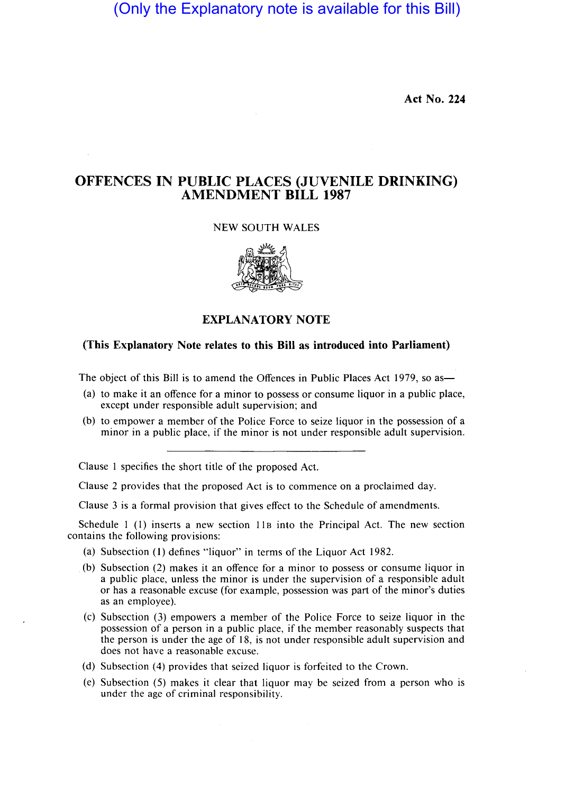(Only the Explanatory note is available for this Bill)

Act No. 224

## OFFENCES IN PUBLIC PLACES (JUVENILE DRINKING) AMENDMENT **BILL** 1987

## NEW SOUTH WALES



## EXPLANATORY NOTE

## (This Explanatory Note relates to this Bill as introduced into Parliament)

The object of this Bill is to amend the Offences in Public Places Act 1979, so as—

- (a) to make it an offence for a minor to possess or consume liquor in a public place, except under responsible adult supervision; and
- (b) to empower a member of the Police Force to seize liquor in the possession of a minor in a public place, if the minor is not under responsible adult supervision.

Clause 1 specifies the short title of the proposed Act.

Clause 2 provides that the proposed Act is to commence on a proclaimed day.

Clause 3 is a formal provision that gives effect to the Schedule of amendments.

Schedule 1 (1) inserts a new section  $11B$  into the Principal Act. The new section contains the following provisions:

- (a) Subsection (1) defines "liquor" in terms of the Liquor Act 1982.
- (b) Subsection (2) makes it an offence for a minor to possess or consume liquor in a public place, unless the minor is under the supervision of a responsible adult or has a reasonable excuse (for example, possession was part of the minor's duties as an employee).
- (c) Subsection (3) empowers a member of the Police Force to seize liquor in the possession of a person in a public place, if the member reasonably suspects that the person is under the age of 18, is not under responsible adult supervision and does not have a reasonable excuse.
- (d) Subsection (4) provides that seized liquor is forfeited to the Crown.
- (e) Subsection (5) makes it clear that liquor may be seized from a person who is under the age of criminal responsibility.